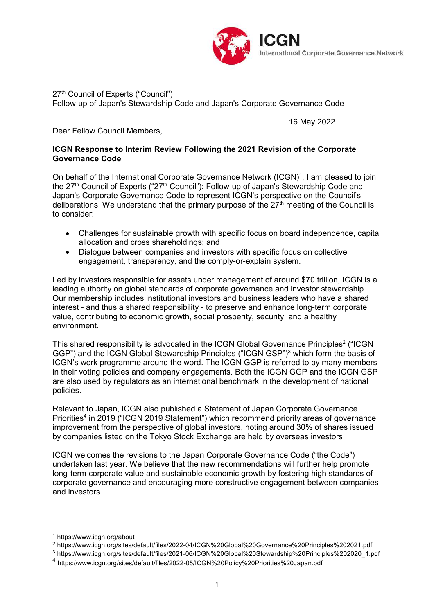

27<sup>th</sup> Council of Experts ("Council") Follow-up of Japan's Stewardship Code and Japan's Corporate Governance Code

16 May 2022

Dear Fellow Council Members,

#### **ICGN Response to Interim Review Following the 2021 Revision of the Corporate Governance Code**

On behalf of the International Corporate Governance Network (ICGN)<sup>1</sup>, I am pleased to join the 27<sup>th</sup> Council of Experts ("27<sup>th</sup> Council"): Follow-up of Japan's Stewardship Code and Japan's Corporate Governance Code to represent ICGN's perspective on the Council's deliberations. We understand that the primary purpose of the 27<sup>th</sup> meeting of the Council is to consider:

- Challenges for sustainable growth with specific focus on board independence, capital allocation and cross shareholdings; and
- Dialogue between companies and investors with specific focus on collective engagement, transparency, and the comply-or-explain system.

Led by investors responsible for assets under management of around \$70 trillion, ICGN is a leading authority on global standards of corporate governance and investor stewardship. Our membership includes institutional investors and business leaders who have a shared interest - and thus a shared responsibility - to preserve and enhance long-term corporate value, contributing to economic growth, social prosperity, security, and a healthy environment.

This shared responsibility is advocated in the ICGN Global Governance Principles $^{\rm 2}$  ("ICGN GGP") and the ICGN Global Stewardship Principles ("ICGN GSP")<sup>3</sup> which form the basis of ICGN's work programme around the word. The ICGN GGP is referred to by many members in their voting policies and company engagements. Both the ICGN GGP and the ICGN GSP are also used by regulators as an international benchmark in the development of national policies.

Relevant to Japan, ICGN also published a Statement of Japan Corporate Governance Priorities<sup>4</sup> in 2019 ("ICGN 2019 Statement") which recommend priority areas of governance improvement from the perspective of global investors, noting around 30% of shares issued by companies listed on the Tokyo Stock Exchange are held by overseas investors.

ICGN welcomes the revisions to the Japan Corporate Governance Code ("the Code") undertaken last year. We believe that the new recommendations will further help promote long-term corporate value and sustainable economic growth by fostering high standards of corporate governance and encouraging more constructive engagement between companies and investors.

<sup>1</sup> <https://www.icgn.org/about>

<sup>2</sup> <https://www.icgn.org/sites/default/files/2022-04/ICGN%20Global%20Governance%20Principles%202021.pdf>

<sup>3</sup> [https://www.icgn.org/sites/default/files/2021-06/ICGN%20Global%20Stewardship%20Principles%202020\\_1.pdf](https://www.icgn.org/sites/default/files/2021-06/ICGN%20Global%20Stewardship%20Principles%202020_1.pdf)

<sup>4</sup> <https://www.icgn.org/sites/default/files/2022-05/ICGN%20Policy%20Priorities%20Japan.pdf>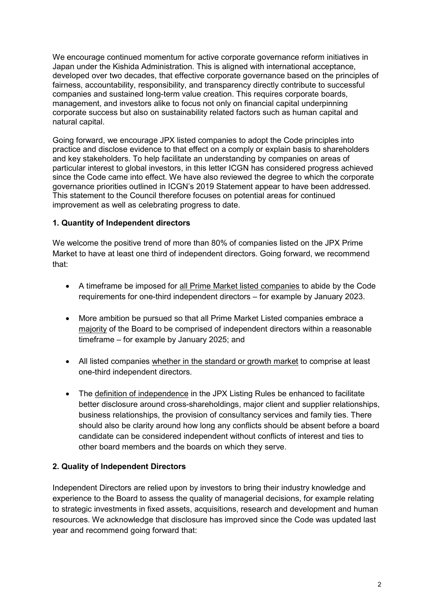We encourage continued momentum for active corporate governance reform initiatives in Japan under the Kishida Administration. This is aligned with international acceptance, developed over two decades, that effective corporate governance based on the principles of fairness, accountability, responsibility, and transparency directly contribute to successful companies and sustained long-term value creation. This requires corporate boards, management, and investors alike to focus not only on financial capital underpinning corporate success but also on sustainability related factors such as human capital and natural capital.

Going forward, we encourage JPX listed companies to adopt the Code principles into practice and disclose evidence to that effect on a comply or explain basis to shareholders and key stakeholders. To help facilitate an understanding by companies on areas of particular interest to global investors, in this letter ICGN has considered progress achieved since the Code came into effect. We have also reviewed the degree to which the corporate governance priorities outlined in ICGN's 2019 Statement appear to have been addressed. This statement to the Council therefore focuses on potential areas for continued improvement as well as celebrating progress to date.

## **1. Quantity of Independent directors**

We welcome the positive trend of more than 80% of companies listed on the JPX Prime Market to have at least one third of independent directors. Going forward, we recommend that:

- A timeframe be imposed for all Prime Market listed companies to abide by the Code requirements for one-third independent directors – for example by January 2023.
- More ambition be pursued so that all Prime Market Listed companies embrace a majority of the Board to be comprised of independent directors within a reasonable timeframe – for example by January 2025; and
- All listed companies whether in the standard or growth market to comprise at least one-third independent directors.
- The definition of independence in the JPX Listing Rules be enhanced to facilitate better disclosure around cross-shareholdings, major client and supplier relationships, business relationships, the provision of consultancy services and family ties. There should also be clarity around how long any conflicts should be absent before a board candidate can be considered independent without conflicts of interest and ties to other board members and the boards on which they serve.

## **2. Quality of Independent Directors**

Independent Directors are relied upon by investors to bring their industry knowledge and experience to the Board to assess the quality of managerial decisions, for example relating to strategic investments in fixed assets, acquisitions, research and development and human resources. We acknowledge that disclosure has improved since the Code was updated last year and recommend going forward that: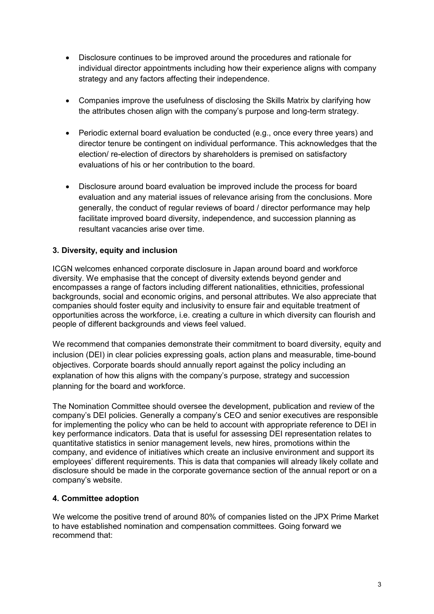- Disclosure continues to be improved around the procedures and rationale for individual director appointments including how their experience aligns with company strategy and any factors affecting their independence.
- Companies improve the usefulness of disclosing the Skills Matrix by clarifying how the attributes chosen align with the company's purpose and long-term strategy.
- Periodic external board evaluation be conducted (e.g., once every three years) and director tenure be contingent on individual performance. This acknowledges that the election/ re-election of directors by shareholders is premised on satisfactory evaluations of his or her contribution to the board.
- Disclosure around board evaluation be improved include the process for board evaluation and any material issues of relevance arising from the conclusions. More generally, the conduct of regular reviews of board / director performance may help facilitate improved board diversity, independence, and succession planning as resultant vacancies arise over time.

## **3. Diversity, equity and inclusion**

ICGN welcomes enhanced corporate disclosure in Japan around board and workforce diversity. We emphasise that the concept of diversity extends beyond gender and encompasses a range of factors including different nationalities, ethnicities, professional backgrounds, social and economic origins, and personal attributes. We also appreciate that companies should foster equity and inclusivity to ensure fair and equitable treatment of opportunities across the workforce, i.e. creating a culture in which diversity can flourish and people of different backgrounds and views feel valued.

We recommend that companies demonstrate their commitment to board diversity, equity and inclusion (DEI) in clear policies expressing goals, action plans and measurable, time-bound objectives. Corporate boards should annually report against the policy including an explanation of how this aligns with the company's purpose, strategy and succession planning for the board and workforce.

The Nomination Committee should oversee the development, publication and review of the company's DEI policies. Generally a company's CEO and senior executives are responsible for implementing the policy who can be held to account with appropriate reference to DEI in key performance indicators. Data that is useful for assessing DEI representation relates to quantitative statistics in senior management levels, new hires, promotions within the company, and evidence of initiatives which create an inclusive environment and support its employees' different requirements. This is data that companies will already likely collate and disclosure should be made in the corporate governance section of the annual report or on a company's website.

#### **4. Committee adoption**

We welcome the positive trend of around 80% of companies listed on the JPX Prime Market to have established nomination and compensation committees. Going forward we recommend that: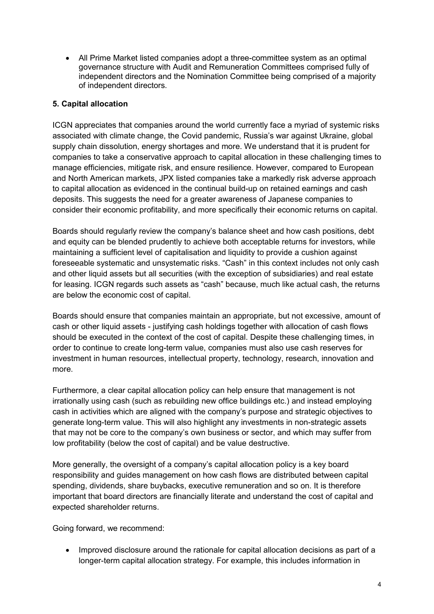All Prime Market listed companies adopt a three-committee system as an optimal governance structure with Audit and Remuneration Committees comprised fully of independent directors and the Nomination Committee being comprised of a majority of independent directors.

# **5. Capital allocation**

ICGN appreciates that companies around the world currently face a myriad of systemic risks associated with climate change, the Covid pandemic, Russia's war against Ukraine, global supply chain dissolution, energy shortages and more. We understand that it is prudent for companies to take a conservative approach to capital allocation in these challenging times to manage efficiencies, mitigate risk, and ensure resilience. However, compared to European and North American markets, JPX listed companies take a markedly risk adverse approach to capital allocation as evidenced in the continual build-up on retained earnings and cash deposits. This suggests the need for a greater awareness of Japanese companies to consider their economic profitability, and more specifically their economic returns on capital.

Boards should regularly review the company's balance sheet and how cash positions, debt and equity can be blended prudently to achieve both acceptable returns for investors, while maintaining a sufficient level of capitalisation and liquidity to provide a cushion against foreseeable systematic and unsystematic risks. "Cash" in this context includes not only cash and other liquid assets but all securities (with the exception of subsidiaries) and real estate for leasing. ICGN regards such assets as "cash" because, much like actual cash, the returns are below the economic cost of capital.

Boards should ensure that companies maintain an appropriate, but not excessive, amount of cash or other liquid assets - justifying cash holdings together with allocation of cash flows should be executed in the context of the cost of capital. Despite these challenging times, in order to continue to create long-term value, companies must also use cash reserves for investment in human resources, intellectual property, technology, research, innovation and more.

Furthermore, a clear capital allocation policy can help ensure that management is not irrationally using cash (such as rebuilding new office buildings etc.) and instead employing cash in activities which are aligned with the company's purpose and strategic objectives to generate long-term value. This will also highlight any investments in non-strategic assets that may not be core to the company's own business or sector, and which may suffer from low profitability (below the cost of capital) and be value destructive.

More generally, the oversight of a company's capital allocation policy is a key board responsibility and guides management on how cash flows are distributed between capital spending, dividends, share buybacks, executive remuneration and so on. It is therefore important that board directors are financially literate and understand the cost of capital and expected shareholder returns.

Going forward, we recommend:

• Improved disclosure around the rationale for capital allocation decisions as part of a longer-term capital allocation strategy. For example, this includes information in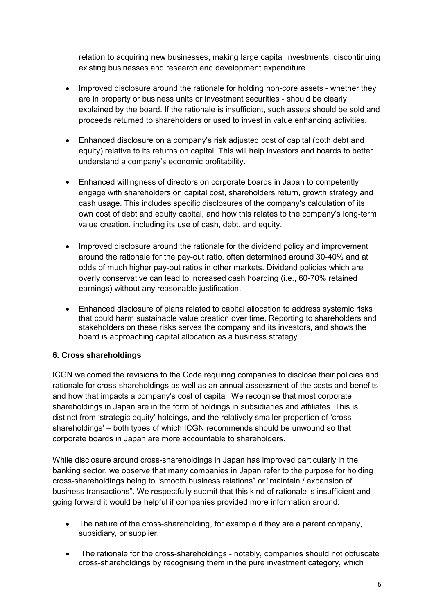relation to acquiring new businesses, making large capital investments, discontinuing existing businesses and research and development expenditure.

- Improved disclosure around the rationale for holding non-core assets whether they are in property or business units or investment securities - should be clearly explained by the board. If the rationale is insufficient, such assets should be sold and proceeds returned to shareholders or used to invest in value enhancing activities.
- Enhanced disclosure on a company's risk adjusted cost of capital (both debt and equity) relative to its returns on capital. This will help investors and boards to better understand a company's economic profitability.
- Enhanced willingness of directors on corporate boards in Japan to competently engage with shareholders on capital cost, shareholders return, growth strategy and cash usage. This includes specific disclosures of the company's calculation of its own cost of debt and equity capital, and how this relates to the company's long-term value creation, including its use of cash, debt, and equity.
- Improved disclosure around the rationale for the dividend policy and improvement around the rationale for the pay-out ratio, often determined around 30-40% and at odds of much higher pay-out ratios in other markets. Dividend policies which are overly conservative can lead to increased cash hoarding (i.e., 60-70% retained earnings) without any reasonable justification.
- Enhanced disclosure of plans related to capital allocation to address systemic risks that could harm sustainable value creation over time. Reporting to shareholders and stakeholders on these risks serves the company and its investors, and shows the board is approaching capital allocation as a business strategy.

## **6. Cross shareholdings**

ICGN welcomed the revisions to the Code requiring companies to disclose their policies and rationale for cross-shareholdings as well as an annual assessment of the costs and benefits and how that impacts a company's cost of capital. We recognise that most corporate shareholdings in Japan are in the form of holdings in subsidiaries and affiliates. This is distinct from 'strategic equity' holdings, and the relatively smaller proportion of 'crossshareholdings' – both types of which ICGN recommends should be unwound so that corporate boards in Japan are more accountable to shareholders.

While disclosure around cross-shareholdings in Japan has improved particularly in the banking sector, we observe that many companies in Japan refer to the purpose for holding cross-shareholdings being to "smooth business relations" or "maintain / expansion of business transactions". We respectfully submit that this kind of rationale is insufficient and going forward it would be helpful if companies provided more information around:

- The nature of the cross-shareholding, for example if they are a parent company, subsidiary, or supplier.
- The rationale for the cross-shareholdings notably, companies should not obfuscate cross-shareholdings by recognising them in the pure investment category, which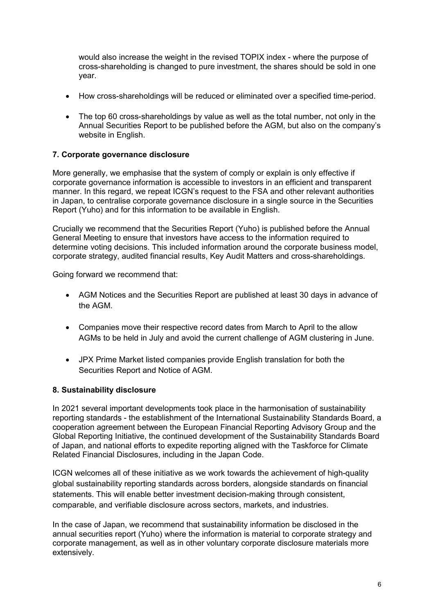would also increase the weight in the revised TOPIX index - where the purpose of cross-shareholding is changed to pure investment, the shares should be sold in one year.

- How cross-shareholdings will be reduced or eliminated over a specified time-period.
- The top 60 cross-shareholdings by value as well as the total number, not only in the Annual Securities Report to be published before the AGM, but also on the company's website in English.

### **7. Corporate governance disclosure**

More generally, we emphasise that the system of comply or explain is only effective if corporate governance information is accessible to investors in an efficient and transparent manner. In this regard, we repeat ICGN's request to the FSA and other relevant authorities in Japan, to centralise corporate governance disclosure in a single source in the Securities Report (Yuho) and for this information to be available in English.

Crucially we recommend that the Securities Report (Yuho) is published before the Annual General Meeting to ensure that investors have access to the information required to determine voting decisions. This included information around the corporate business model, corporate strategy, audited financial results, Key Audit Matters and cross-shareholdings.

Going forward we recommend that:

- AGM Notices and the Securities Report are published at least 30 days in advance of the AGM.
- Companies move their respective record dates from March to April to the allow AGMs to be held in July and avoid the current challenge of AGM clustering in June.
- JPX Prime Market listed companies provide English translation for both the Securities Report and Notice of AGM.

#### **8. Sustainability disclosure**

In 2021 several important developments took place in the harmonisation of sustainability reporting standards - the establishment of the International Sustainability Standards Board, a cooperation agreement between the European Financial Reporting Advisory Group and the Global Reporting Initiative, the continued development of the Sustainability Standards Board of Japan, and national efforts to expedite reporting aligned with the Taskforce for Climate Related Financial Disclosures, including in the Japan Code.

ICGN welcomes all of these initiative as we work towards the achievement of high-quality global sustainability reporting standards across borders, alongside standards on financial statements. This will enable better investment decision-making through consistent, comparable, and verifiable disclosure across sectors, markets, and industries.

In the case of Japan, we recommend that sustainability information be disclosed in the annual securities report (Yuho) where the information is material to corporate strategy and corporate management, as well as in other voluntary corporate disclosure materials more extensively.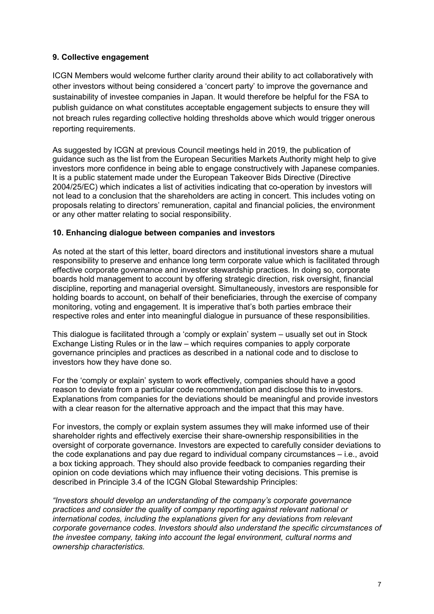### **9. Collective engagement**

ICGN Members would welcome further clarity around their ability to act collaboratively with other investors without being considered a 'concert party' to improve the governance and sustainability of investee companies in Japan. It would therefore be helpful for the FSA to publish guidance on what constitutes acceptable engagement subjects to ensure they will not breach rules regarding collective holding thresholds above which would trigger onerous reporting requirements.

As suggested by ICGN at previous Council meetings held in 2019, the publication of guidance such as the list from the European Securities Markets Authority might help to give investors more confidence in being able to engage constructively with Japanese companies. It is a public statement made under the European Takeover Bids Directive (Directive 2004/25/EC) which indicates a list of activities indicating that co-operation by investors will not lead to a conclusion that the shareholders are acting in concert. This includes voting on proposals relating to directors' remuneration, capital and financial policies, the environment or any other matter relating to social responsibility.

#### **10. Enhancing dialogue between companies and investors**

As noted at the start of this letter, board directors and institutional investors share a mutual responsibility to preserve and enhance long term corporate value which is facilitated through effective corporate governance and investor stewardship practices. In doing so, corporate boards hold management to account by offering strategic direction, risk oversight, financial discipline, reporting and managerial oversight. Simultaneously, investors are responsible for holding boards to account, on behalf of their beneficiaries, through the exercise of company monitoring, voting and engagement. It is imperative that's both parties embrace their respective roles and enter into meaningful dialogue in pursuance of these responsibilities.

This dialogue is facilitated through a 'comply or explain' system – usually set out in Stock Exchange Listing Rules or in the law – which requires companies to apply corporate governance principles and practices as described in a national code and to disclose to investors how they have done so.

For the 'comply or explain' system to work effectively, companies should have a good reason to deviate from a particular code recommendation and disclose this to investors. Explanations from companies for the deviations should be meaningful and provide investors with a clear reason for the alternative approach and the impact that this may have.

For investors, the comply or explain system assumes they will make informed use of their shareholder rights and effectively exercise their share-ownership responsibilities in the oversight of corporate governance. Investors are expected to carefully consider deviations to the code explanations and pay due regard to individual company circumstances – i.e., avoid a box ticking approach. They should also provide feedback to companies regarding their opinion on code deviations which may influence their voting decisions. This premise is described in Principle 3.4 of the ICGN Global Stewardship Principles:

*"Investors should develop an understanding of the company's corporate governance practices and consider the quality of company reporting against relevant national or international codes, including the explanations given for any deviations from relevant corporate governance codes. Investors should also understand the specific circumstances of the investee company, taking into account the legal environment, cultural norms and ownership characteristics.*